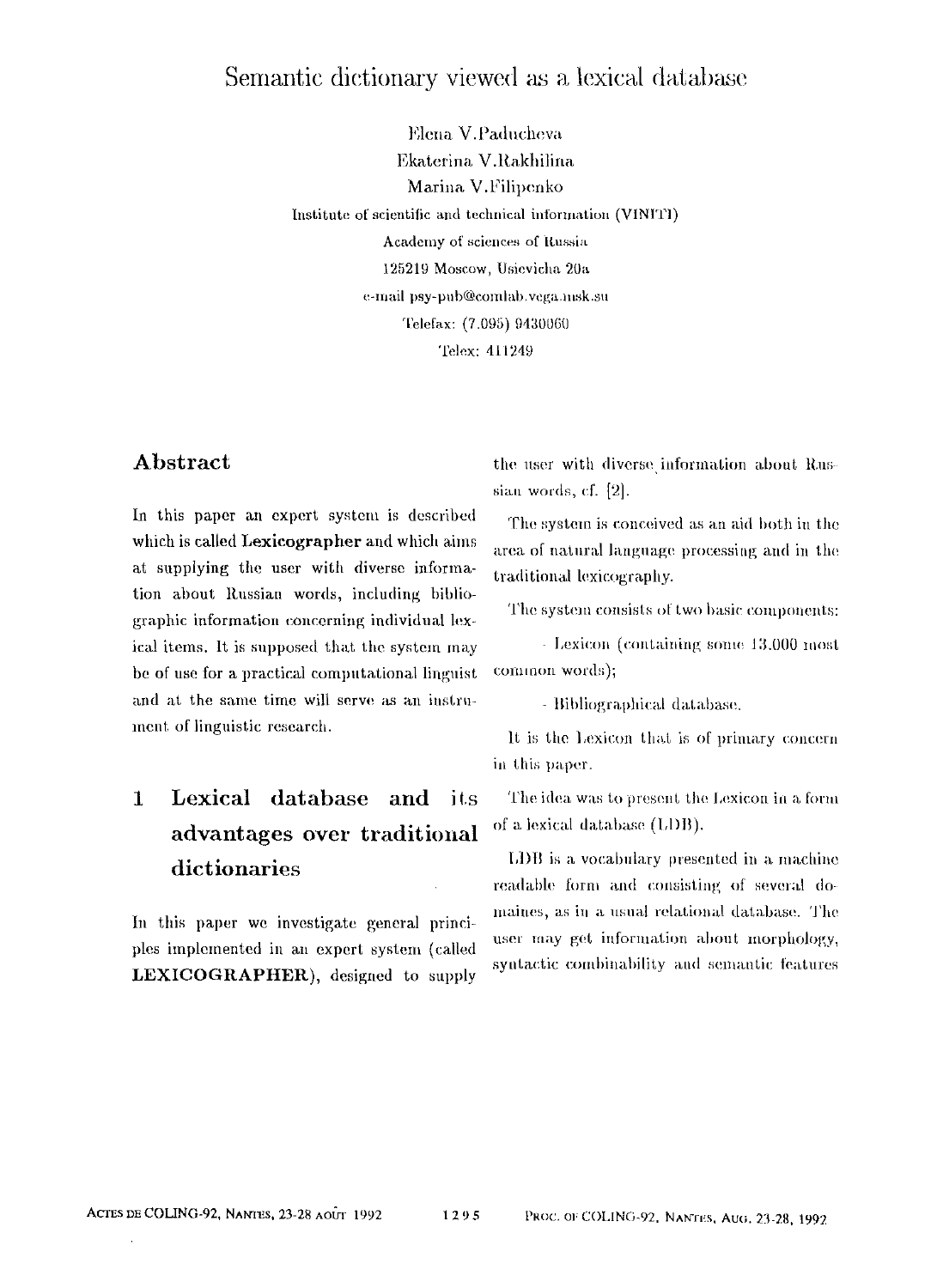### Semantic dictionary viewed as a lexical database

Elena V.Paducheva Ekaterina V.Rakhilina Marina V.Filipenko Institute of scientific and technical information (VINITI) Academy of sciences of Itussia **125219** Moscow, Usievicha 20a e-mail psy-pub@comlab.vega.msk.su Telefax: (7.095) 9430060 Telex: **411249** 

#### **Abstract**

In this paper an expert system is described which is called Lexicographer and which aims at supplying the user with diverse information about Russian words, including bibliographic information concerning individual lex.. ical items. It is supposed that the system may be of use for a practical computational linguist and at the same time will serve as an instrument of linguistic research.

# $\mathbf{I}$ advantages over traditional of a lexical database (LDB).

In this paper we investigate general principles implemented in an expert system (called user may get information about morphology, LEXICOGRAPHER), designed to supply syntactic combinability and semantic features

the user with diverse information about Russian words, cf. [2].

The system is conceived as an aid both in the area of natural language processing and in the traditional lexicography.

The system consists of two basic components:

- Lexicon (containing some 13.000 most common words);

- Bibliographical database.

It is the Lexicon that is of primary concern in this paper.

**Lexical database and its** The idea was to present the Lexicon in a form

dictionaries [,j] is a vocabulary presented in a machine readable form and consisting of several domaines, as in a usual relational database. The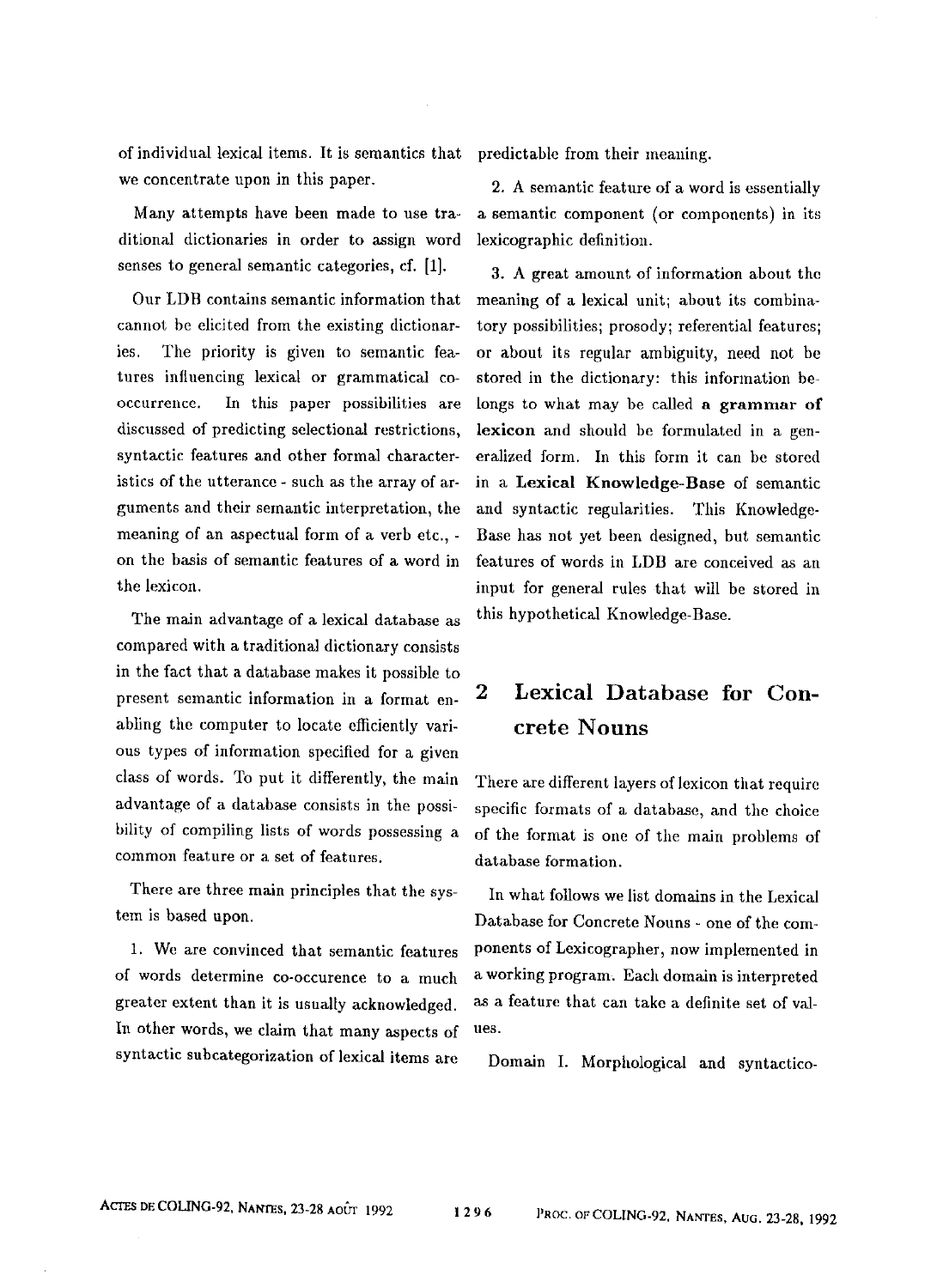of individual lexical items. It is semantics that predictable from their meaning. we concentrate upon in this paper.

Many attempts have been made to use traditional dictionaries in order to assign word senses to general semantic categories, cf. [1].

Our LDB contains semantic information that cannot be elicited from the existing dictionaries. The priority is given to semantic features influencing lexical or grammatical cooccurrence. In this paper possibilities are discussed of predicting selectional restrictions. syntactic features and other formal characteristics of the utterance - such as the array of arguments and their semantic interpretation, the meaning of an aspeetual form of a verb etc., on the basis of semantic features of a word in the lexicon.

The main advantage of a lexicai database as compared with a traditional dictionary consists in the fact that a database makes it possible to present semantic information in a format enabling the computer to locate efficiently various types of information specified for a given class of words. To put it differently, the main advantage of a database consists in the possibility of compiling lists of words possessing a common feature or a set of features.

There are three main principles that the system is based upon.

1. We are convinced that semantic features of words determine co-occurence to a much greater extent than it is usually acknowledged. In other words, we claim that many aspects of syntactic subcategorization of lexical items are

2. A semantic feature of a word is essentially a semantic component (or components) in its lexicographic definition.

3. A great amount of information about the meaning of a lexical unit; about its combinatory possibilities; prosody; referential features; or about its regular ambiguity, need not he stored in the dictionary: this information belongs to what may be called a grammar of lexicon and should be formulated in a generalized form. In this form it can be stored in a Lexical Knowledge-Base of semantic and syntactic regularities. This Knowledge-Base has not yet been designed, but semantic features of words in LDB are conceived as an input for general rules that will be stored in this hypothetical Knowledge-Base.

## **2 Lexical Database for Concrete Nouns**

There are different layers of lexicon that require specific formats of a database, and the choice of the format is one of the main problems of database formation.

In what follows we list domains in the Lexical Database for Concrete Nouns - one of the components of Lexicographer, now implemented in a working program~ Each domain is interpreted as a feature that can take a definite set of values.

Domain I. Morphological and syntactico-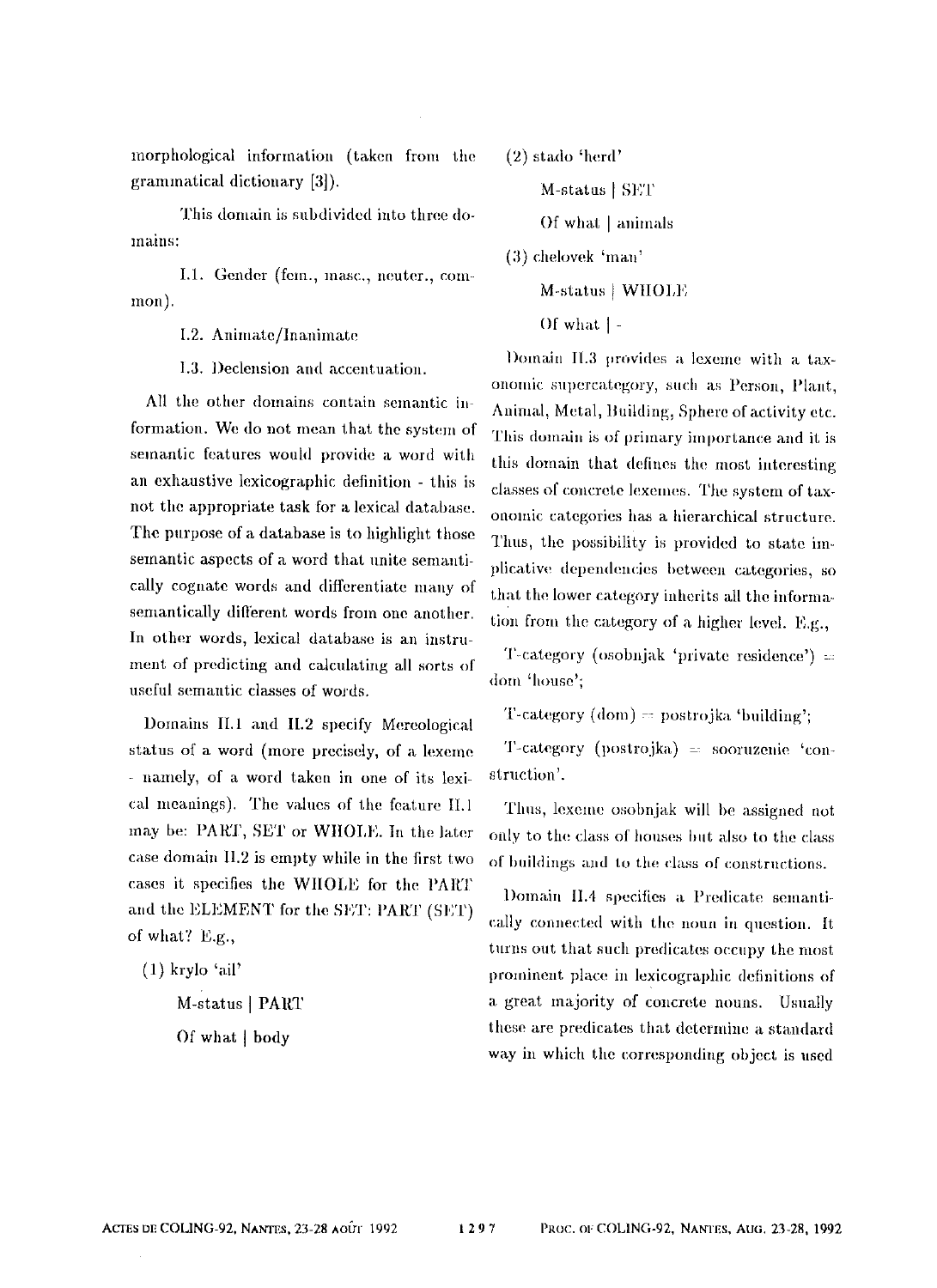morphological information (taken from the grammatical dictionary [3]).

This domain is subdivided into three domains:

I.1. Gender (fem., masc., neuter., common).

I.2. Animate/Inanimate

I.3. Declension and accentuation.

All the other domains contain semantic information. We do not mean that the system of semantic features would provide a word with an exhaustive lexicographic definition - this is not the appropriate task for a lexical database. The purpose of a database is to highlight those semantic aspects of a word that unite semantically cognate words and differentiate many of semantically different words from one another. In other words, lexical database is an instrument of predicting and calculating all sorts of useful semantic classes of words.

Domains II.1 and II.2 specify Mereological status of a word (more precisely, of a lexeme - namely, of a word taken in one of its lexical meanings). The values of the feature II.1 may be: PART, SET or WHOLE. In the later case domain II.2 is empty while in the first two cases it specifies the WHOLE for the PART and the ELEMENT for the SET: PART (SET) of what? E.g.,

 $(1)$  krylo 'ail'

M-status | PART

Of what | body

 $(2)$  stado 'herd'

M-status | SET

Of what | animals

(3) chelovek 'man'

M-status | WHOLE

Of what  $\vert$  -

Domain II.3 provides a lexeme with a taxonomic supercategory, such as Person. Plant. Animal, Metal, Building, Sphere of activity etc. This domain is of primary importance and it is this domain that defines the most interesting classes of concrete lexemes. The system of taxonomic categories has a hierarchical structure. Thus, the possibility is provided to state implicative dependencies between categories, so that the lower category inherits all the information from the category of a higher level.  $F_{\alpha}g_{\alpha}$ 

T-category (osobnjak 'private residence') = dom 'house':

T-category (dom) = postrojka 'building';

T-category (postrojka) = sooruzenie 'construction'.

Thus, lexeme osobnjak will be assigned not only to the class of houses but also to the class of buildings and to the class of constructions.

Domain II.4 specifies a Predicate semantically connected with the noun in question. It turns out that such predicates occupy the most prominent place in lexicographic definitions of a great majority of concrete nouns. Usually these are predicates that determine a standard way in which the corresponding object is used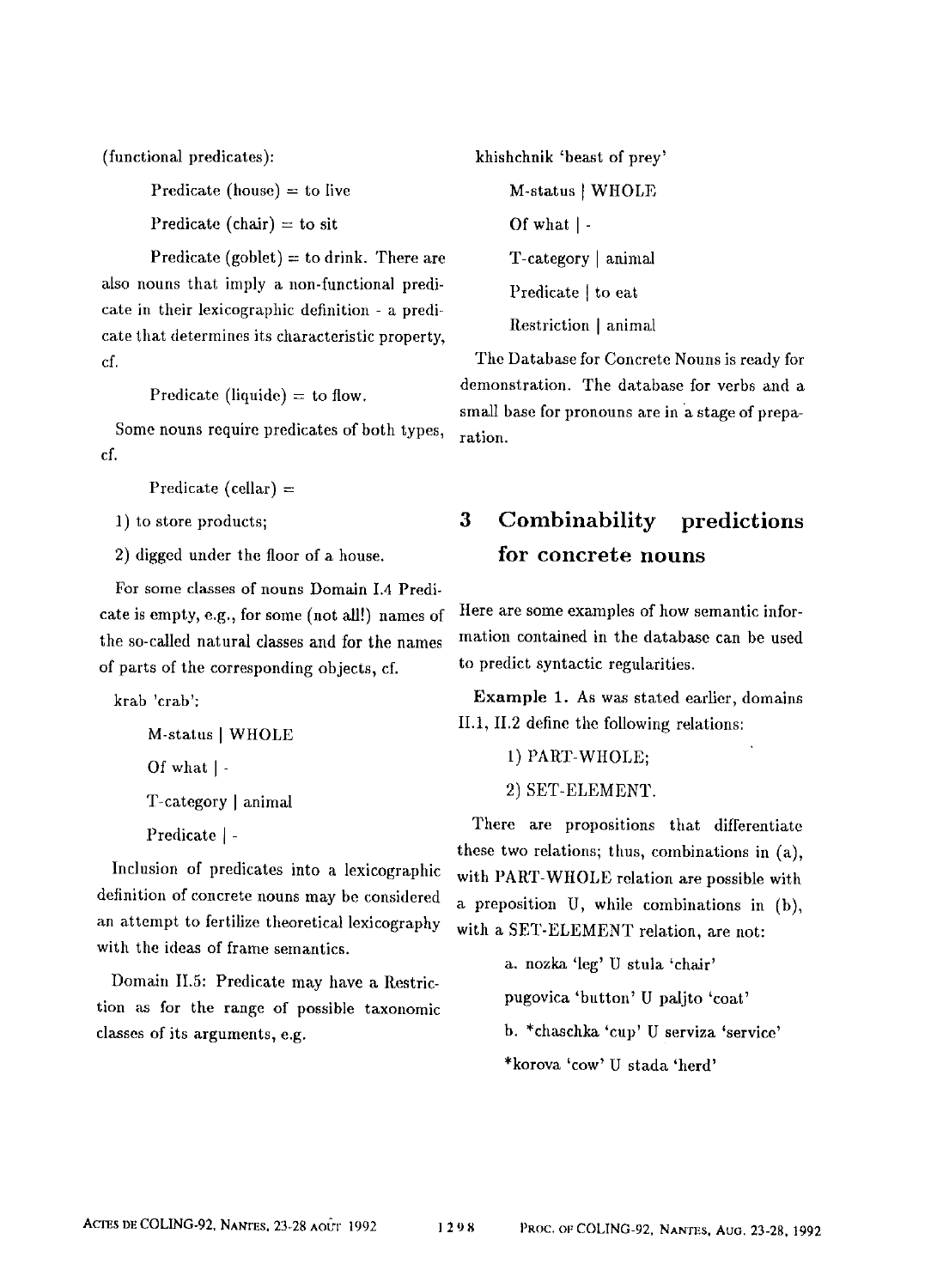(functional predicates):

Predicate (house)  $=$  to live

Predicate (chair) = to sit

Predicate (goblet)  $=$  to drink. There are also nouns that imply a non-functional predicate in their lexicographic definition - a predicate that determines its characteristic property, cf.

Predicate (liquide)  $=$  to flow.

Some nouns require predicates of both types, cf.

Predicate (cellar)  $=$ 

1) to store products;

2) digged under the floor of a house.

For some classes of nouns Domain 1.4 Predicate is empty, e.g., for some (not all!) names of the so-called natural classes and for the names of parts of the corresponding objects, cf.

krab 'crab':

M-status I WHOLE

Of what I -

T-category ] animal

Predicate ] -

Inclusion of predicates into a lexicographic definition of concrete nouns may be considered an attempt to fertilize theoretical lexicography with the ideas of frame semantics.

Domain II.5: Predicate may have a Restriction as for the range of possible taxonomic classes of its arguments, e.g.

khishchnik 'beast of prey' M-status [ WHOLE Of what  $\vert$  -T-category | animal Predicate I to eat Restriction I animal

The Database for Concrete Nouns is ready for demonstration. The database for verbs and a small base for pronouns are in a stage of preparation.

## **3 Combinability predictions for concrete nouns**

Here are some examples of how semantic information contained in the database can be used to predict syntactic regularities.

Example 1. As was stated earlier, domains II.1, II.2 define the following relations:

- 1) PART-WHOLE;
- 2) SET-ELEMENT.

There are propositions that differentiate these two relations; thus, combinations in (a), with PART-WHOLE relation are possible with a preposition U, while combinations in (b), with a SET-ELEMENT relation, are not:

> a. nozka 'leg' U stula 'chair' pugovica 'button' U paljto 'coat' b. \*chaschka 'cup' U serviza 'service' \*korova 'cow' U stada 'herd'